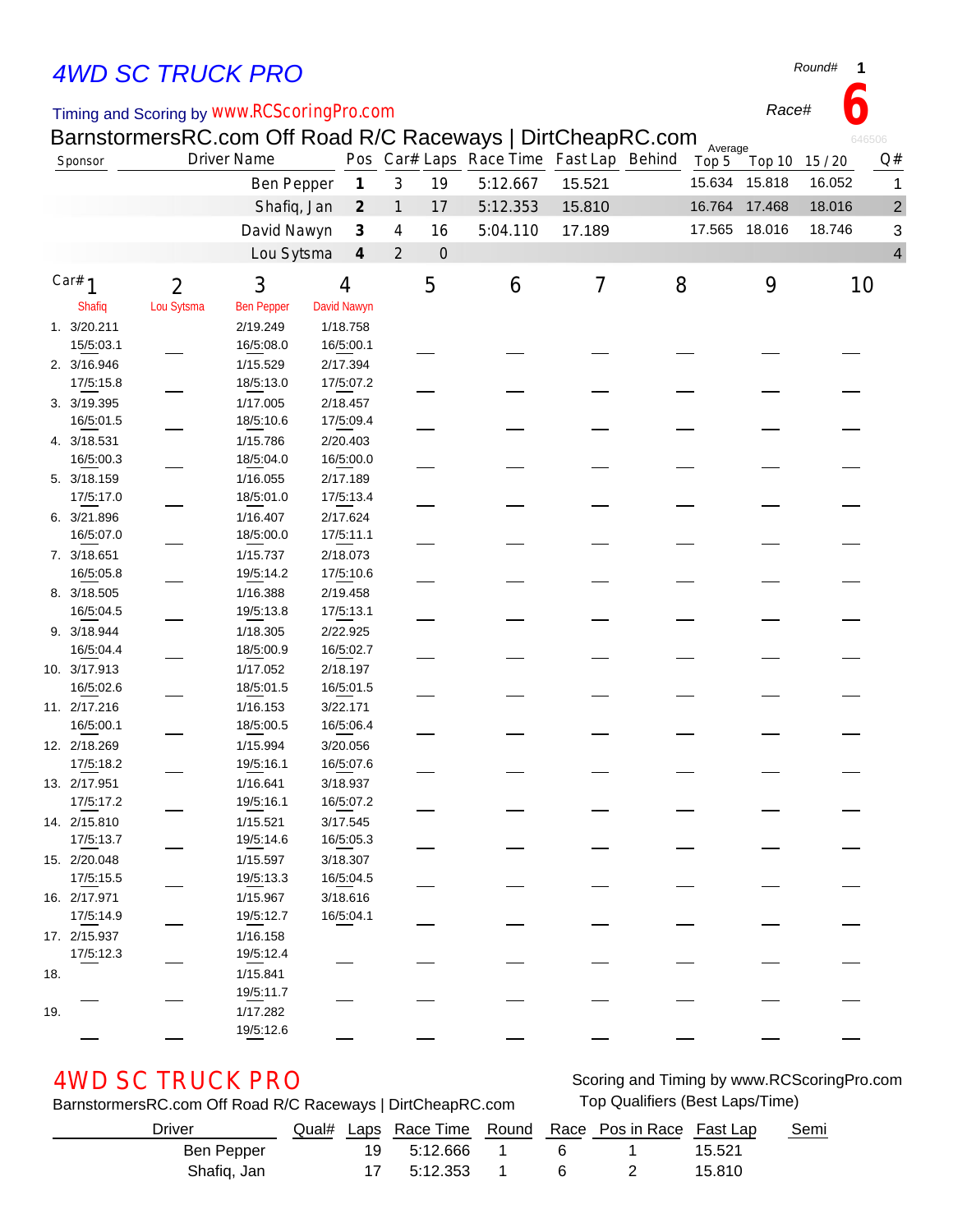# *4WD SC TRUCK PRO*

### Timing and Scoring by *www.RCScoringPro.com*

BarnstormersRC.com Off Road R/C Raceways | DirtCheapRC.com

|     |               | BarnstormersRC.com Off Road R/C Raceways   DirtCheapRC.com |                    |             |                             |                |             |                                         |        |   | Average |                |        | 646506         |
|-----|---------------|------------------------------------------------------------|--------------------|-------------|-----------------------------|----------------|-------------|-----------------------------------------|--------|---|---------|----------------|--------|----------------|
|     | Sponsor       |                                                            | <b>Driver Name</b> |             |                             |                |             | Pos Car# Laps Race Time Fast Lap Behind |        |   | Top 5   | Top 10 15 / 20 |        | Q#             |
|     |               |                                                            | <b>Ben Pepper</b>  |             | $\boldsymbol{\mathcal{I}}$  | 3              | 19          | 5:12.667                                | 15.521 |   | 15.634  | 15.818         | 16.052 | 1              |
|     |               |                                                            | Shafiq, Jan        |             | $\mathcal{Z}_{\mathcal{C}}$ | $\mathbf{1}$   | 17          | 5:12.353                                | 15.810 |   |         | 16.764 17.468  | 18.016 | $\overline{c}$ |
|     |               |                                                            | David Nawyn        |             | $\boldsymbol{\beta}$        | 4              | 16          | 5:04.110                                | 17.189 |   |         | 17.565 18.016  | 18.746 | 3              |
|     |               |                                                            | Lou Sytsma         |             | $\boldsymbol{4}$            | $\overline{2}$ | $\mathbf 0$ |                                         |        |   |         |                |        | 4              |
|     |               |                                                            |                    |             |                             |                |             |                                         |        |   |         |                |        |                |
|     | Car# $1$      | $\overline{2}$                                             | 3                  | 4           |                             |                | 5           | 6                                       | 7      | 8 |         | 9              |        | 10             |
|     | <b>Shafiq</b> | Lou Sytsma                                                 | <b>Ben Pepper</b>  | David Nawyn |                             |                |             |                                         |        |   |         |                |        |                |
|     | 1. 3/20.211   |                                                            | 2/19.249           | 1/18.758    |                             |                |             |                                         |        |   |         |                |        |                |
|     | 15/5:03.1     |                                                            | 16/5:08.0          | 16/5:00.1   |                             |                |             |                                         |        |   |         |                |        |                |
|     | 2. 3/16.946   |                                                            | 1/15.529           | 2/17.394    |                             |                |             |                                         |        |   |         |                |        |                |
|     | 17/5:15.8     |                                                            | 18/5:13.0          | 17/5:07.2   |                             |                |             |                                         |        |   |         |                |        |                |
|     | 3. 3/19.395   |                                                            | 1/17.005           | 2/18.457    |                             |                |             |                                         |        |   |         |                |        |                |
|     | 16/5:01.5     |                                                            | 18/5:10.6          | 17/5:09.4   |                             |                |             |                                         |        |   |         |                |        |                |
|     | 4. 3/18.531   |                                                            | 1/15.786           | 2/20.403    |                             |                |             |                                         |        |   |         |                |        |                |
|     | 16/5:00.3     |                                                            | 18/5:04.0          | 16/5:00.0   |                             |                |             |                                         |        |   |         |                |        |                |
|     | 5. 3/18.159   |                                                            | 1/16.055           | 2/17.189    |                             |                |             |                                         |        |   |         |                |        |                |
|     | 17/5:17.0     |                                                            | 18/5:01.0          | 17/5:13.4   |                             |                |             |                                         |        |   |         |                |        |                |
|     | 6. 3/21.896   |                                                            | 1/16.407           | 2/17.624    |                             |                |             |                                         |        |   |         |                |        |                |
|     | 16/5:07.0     |                                                            | 18/5:00.0          | 17/5:11.1   |                             |                |             |                                         |        |   |         |                |        |                |
|     | 7. 3/18.651   |                                                            | 1/15.737           | 2/18.073    |                             |                |             |                                         |        |   |         |                |        |                |
|     | 16/5:05.8     |                                                            | 19/5:14.2          | 17/5:10.6   |                             |                |             |                                         |        |   |         |                |        |                |
|     | 8. 3/18.505   |                                                            | 1/16.388           | 2/19.458    |                             |                |             |                                         |        |   |         |                |        |                |
|     | 16/5:04.5     |                                                            | 19/5:13.8          | 17/5:13.1   |                             |                |             |                                         |        |   |         |                |        |                |
|     | 9. 3/18.944   |                                                            | 1/18.305           | 2/22.925    |                             |                |             |                                         |        |   |         |                |        |                |
|     | 16/5:04.4     |                                                            | 18/5:00.9          | 16/5:02.7   |                             |                |             |                                         |        |   |         |                |        |                |
|     | 10. 3/17.913  |                                                            | 1/17.052           | 2/18.197    |                             |                |             |                                         |        |   |         |                |        |                |
|     | 16/5:02.6     |                                                            | 18/5:01.5          | 16/5:01.5   |                             |                |             |                                         |        |   |         |                |        |                |
|     | 11. 2/17.216  |                                                            | 1/16.153           | 3/22.171    |                             |                |             |                                         |        |   |         |                |        |                |
|     | 16/5:00.1     |                                                            | 18/5:00.5          | 16/5:06.4   |                             |                |             |                                         |        |   |         |                |        |                |
|     | 12. 2/18.269  |                                                            | 1/15.994           | 3/20.056    |                             |                |             |                                         |        |   |         |                |        |                |
|     | 17/5:18.2     |                                                            | 19/5:16.1          | 16/5:07.6   |                             |                |             |                                         |        |   |         |                |        |                |
|     | 13. 2/17.951  |                                                            | 1/16.641           | 3/18.937    |                             |                |             |                                         |        |   |         |                |        |                |
|     | 17/5:17.2     |                                                            | 19/5:16.1          | 16/5:07.2   |                             |                |             |                                         |        |   |         |                |        |                |
|     | 14. 2/15.810  |                                                            | 1/15.521           | 3/17.545    |                             |                |             |                                         |        |   |         |                |        |                |
|     | 17/5:13.7     |                                                            | 19/5:14.6          | 16/5:05.3   |                             |                |             |                                         |        |   |         |                |        |                |
|     | 15. 2/20.048  |                                                            | 1/15.597           | 3/18.307    |                             |                |             |                                         |        |   |         |                |        |                |
|     | 17/5:15.5     |                                                            | 19/5:13.3          | 16/5:04.5   |                             |                |             |                                         |        |   |         |                |        |                |
|     | 16. 2/17.971  |                                                            | 1/15.967           | 3/18.616    |                             |                |             |                                         |        |   |         |                |        |                |
|     | 17/5:14.9     |                                                            | 19/5:12.7          | 16/5:04.1   |                             |                |             |                                         |        |   |         |                |        |                |
|     | 17. 2/15.937  |                                                            | 1/16.158           |             |                             |                |             |                                         |        |   |         |                |        |                |
|     | 17/5:12.3     |                                                            | 19/5:12.4          |             |                             |                |             |                                         |        |   |         |                |        |                |
| 18. |               |                                                            | 1/15.841           |             |                             |                |             |                                         |        |   |         |                |        |                |
|     |               |                                                            | 19/5:11.7          |             |                             |                |             |                                         |        |   |         |                |        |                |
| 19. |               |                                                            | 1/17.282           |             |                             |                |             |                                         |        |   |         |                |        |                |
|     |               |                                                            | 19/5:12.6          |             |                             |                |             |                                         |        |   |         |                |        |                |

BarnstormersRC.com Off Road R/C Raceways | DirtCheapRC.com Top Qualifiers (Best Laps/Time)

AWD SC TRUCK PRO **SCOT AND SCOTT AND SCOTT AND SCOTT AND SCOTT AND SCOTT AND SCOTT AND SCOTT AND AND SCOTT AND SCOTT AND AND SCOTT AND AND SCOTT AND AND SCOTT AND AND SCOTT AND AND SCOTT AND AND SCOTT AND AND SCOTT AND SCO** 

| Driver      |  |               |       | Qual# Laps Race Time Round Race Pos in Race Fast Lap |        | Semi |
|-------------|--|---------------|-------|------------------------------------------------------|--------|------|
| Ben Pepper  |  | 19 5:12.666 1 | - 6 - |                                                      | 15.521 |      |
| Shafiq, Jan |  | 17 5:12.353 1 | 6     |                                                      | 15.810 |      |

*Round#* **1**